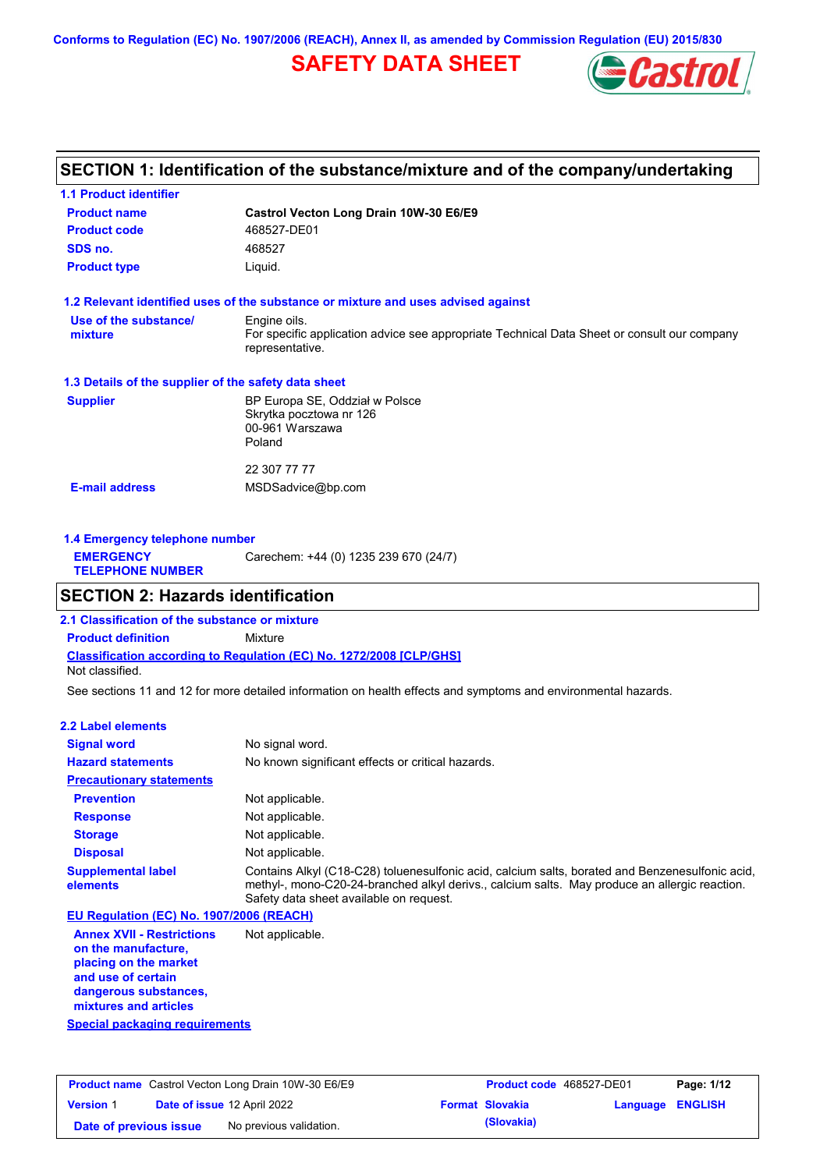**Conforms to Regulation (EC) No. 1907/2006 (REACH), Annex II, as amended by Commission Regulation (EU) 2015/830**

# **SAFETY DATA SHEET**



## **SECTION 1: Identification of the substance/mixture and of the company/undertaking**

| <b>1.1 Product identifier</b>                        |                                                                                                                |
|------------------------------------------------------|----------------------------------------------------------------------------------------------------------------|
| <b>Product name</b>                                  | Castrol Vecton Long Drain 10W-30 E6/E9                                                                         |
| <b>Product code</b>                                  | 468527-DE01                                                                                                    |
| SDS no.                                              | 468527                                                                                                         |
| <b>Product type</b>                                  | Liquid.                                                                                                        |
|                                                      | 1.2 Relevant identified uses of the substance or mixture and uses advised against                              |
| Use of the substance/                                | Engine oils.                                                                                                   |
| mixture                                              | For specific application advice see appropriate Technical Data Sheet or consult our company<br>representative. |
| 1.3 Details of the supplier of the safety data sheet |                                                                                                                |
| <b>Supplier</b>                                      | BP Europa SE, Oddział w Polsce<br>Skrytka pocztowa nr 126<br>00-961 Warszawa                                   |
|                                                      | Poland                                                                                                         |
|                                                      | 22 307 77 77                                                                                                   |
| <b>E-mail address</b>                                | MSDSadvice@bp.com                                                                                              |
|                                                      |                                                                                                                |
|                                                      |                                                                                                                |

| 1.4 Emergency telephone number              |                                       |
|---------------------------------------------|---------------------------------------|
| <b>EMERGENCY</b><br><b>TELEPHONE NUMBER</b> | Carechem: +44 (0) 1235 239 670 (24/7) |

### **SECTION 2: Hazards identification**

**Classification according to Regulation (EC) No. 1272/2008 [CLP/GHS] 2.1 Classification of the substance or mixture Product definition** Mixture Not classified.

See sections 11 and 12 for more detailed information on health effects and symptoms and environmental hazards.

#### **2.2 Label elements**

| <b>Signal word</b>                       | No signal word.                                                                                                                                                                                                                             |
|------------------------------------------|---------------------------------------------------------------------------------------------------------------------------------------------------------------------------------------------------------------------------------------------|
| <b>Hazard statements</b>                 | No known significant effects or critical hazards.                                                                                                                                                                                           |
| <b>Precautionary statements</b>          |                                                                                                                                                                                                                                             |
| <b>Prevention</b>                        | Not applicable.                                                                                                                                                                                                                             |
| <b>Response</b>                          | Not applicable.                                                                                                                                                                                                                             |
| <b>Storage</b>                           | Not applicable.                                                                                                                                                                                                                             |
| <b>Disposal</b>                          | Not applicable.                                                                                                                                                                                                                             |
| <b>Supplemental label</b><br>elements    | Contains Alkyl (C18-C28) toluenesulfonic acid, calcium salts, borated and Benzenesulfonic acid,<br>methyl-, mono-C20-24-branched alkyl derivs., calcium salts. May produce an allergic reaction.<br>Safety data sheet available on request. |
| EU Regulation (EC) No. 1907/2006 (REACH) |                                                                                                                                                                                                                                             |
| <b>Annex XVII - Restrictions</b>         | Not applicable.                                                                                                                                                                                                                             |

**Annex XVII - Restrictions on the manufacture, placing on the market and use of certain dangerous substances, mixtures and articles**

**Special packaging requirements**

|                        | <b>Product name</b> Castrol Vecton Long Drain 10W-30 E6/E9 | <b>Product code</b> 468527-DE01 |                         | Page: 1/12 |
|------------------------|------------------------------------------------------------|---------------------------------|-------------------------|------------|
| <b>Version 1</b>       | <b>Date of issue 12 April 2022</b>                         | <b>Format Slovakia</b>          | <b>Language ENGLISH</b> |            |
| Date of previous issue | No previous validation.                                    | (Slovakia)                      |                         |            |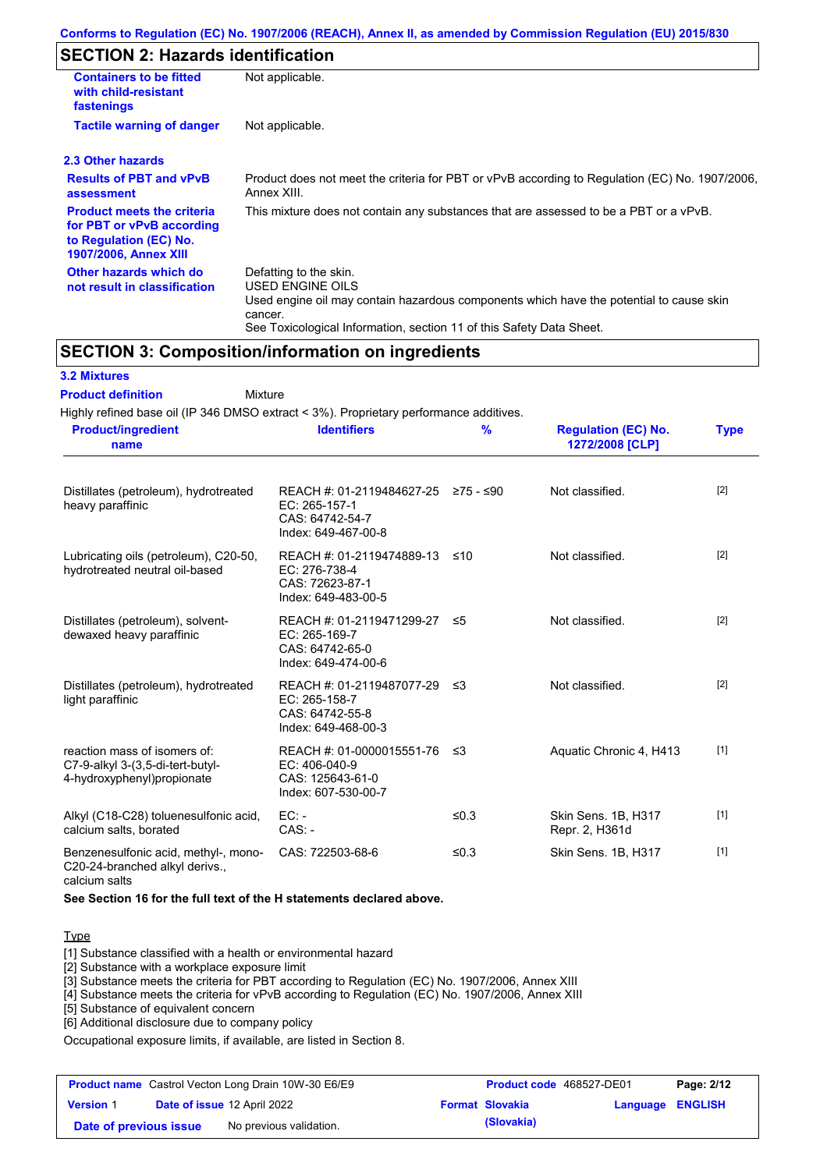## **SECTION 2: Hazards identification**

| <b>Containers to be fitted</b><br>with child-resistant<br>fastenings                                                     | Not applicable.                                                                                                                                                                                                          |
|--------------------------------------------------------------------------------------------------------------------------|--------------------------------------------------------------------------------------------------------------------------------------------------------------------------------------------------------------------------|
| <b>Tactile warning of danger</b>                                                                                         | Not applicable.                                                                                                                                                                                                          |
| 2.3 Other hazards                                                                                                        |                                                                                                                                                                                                                          |
| <b>Results of PBT and vPvB</b><br>assessment                                                                             | Product does not meet the criteria for PBT or vPvB according to Regulation (EC) No. 1907/2006,<br>Annex XIII.                                                                                                            |
| <b>Product meets the criteria</b><br>for PBT or vPvB according<br>to Regulation (EC) No.<br><b>1907/2006, Annex XIII</b> | This mixture does not contain any substances that are assessed to be a PBT or a vPvB.                                                                                                                                    |
| Other hazards which do<br>not result in classification                                                                   | Defatting to the skin.<br>USED ENGINE OILS<br>Used engine oil may contain hazardous components which have the potential to cause skin<br>cancer.<br>See Toxicological Information, section 11 of this Safety Data Sheet. |

### **SECTION 3: Composition/information on ingredients**

| <b>3.2 Mixtures</b>                                                                            |                                                                                                          |               |                                               |             |
|------------------------------------------------------------------------------------------------|----------------------------------------------------------------------------------------------------------|---------------|-----------------------------------------------|-------------|
| <b>Product definition</b><br>Mixture                                                           |                                                                                                          |               |                                               |             |
| Highly refined base oil (IP 346 DMSO extract < 3%). Proprietary performance additives.         |                                                                                                          |               |                                               |             |
| <b>Product/ingredient</b><br>name                                                              | <b>Identifiers</b>                                                                                       | $\frac{9}{6}$ | <b>Regulation (EC) No.</b><br>1272/2008 [CLP] | <b>Type</b> |
| Distillates (petroleum), hydrotreated<br>heavy paraffinic                                      | REACH #: 01-2119484627-25 $\ge$ 75 - $\le$ 90<br>EC: 265-157-1<br>CAS: 64742-54-7<br>Index: 649-467-00-8 |               | Not classified.                               | $[2]$       |
| Lubricating oils (petroleum), C20-50,<br>hydrotreated neutral oil-based                        | REACH #: 01-2119474889-13<br>EC: 276-738-4<br>CAS: 72623-87-1<br>Index: 649-483-00-5                     | ≤10           | Not classified.                               | $[2]$       |
| Distillates (petroleum), solvent-<br>dewaxed heavy paraffinic                                  | REACH #: 01-2119471299-27<br>EC: 265-169-7<br>CAS: 64742-65-0<br>Index: 649-474-00-6                     | $\leq 5$      | Not classified.                               | $[2]$       |
| Distillates (petroleum), hydrotreated<br>light paraffinic                                      | REACH #: 01-2119487077-29<br>EC: 265-158-7<br>CAS: 64742-55-8<br>Index: 649-468-00-3                     | ≤3            | Not classified.                               | $[2]$       |
| reaction mass of isomers of:<br>C7-9-alkyl 3-(3,5-di-tert-butyl-<br>4-hydroxyphenyl)propionate | REACH #: 01-0000015551-76<br>EC: 406-040-9<br>CAS: 125643-61-0<br>Index: 607-530-00-7                    | ≤3            | Aquatic Chronic 4, H413                       | $[1]$       |
| Alkyl (C18-C28) toluenesulfonic acid,<br>calcium salts, borated                                | EC:<br>$CAS: -$                                                                                          | ≤0.3          | Skin Sens. 1B, H317<br>Repr. 2, H361d         | $[1]$       |
| Benzenesulfonic acid, methyl-, mono-<br>C20-24-branched alkyl derivs.,<br>calcium salts        | CAS: 722503-68-6                                                                                         | ≤0.3          | Skin Sens. 1B, H317                           | $[1]$       |

**See Section 16 for the full text of the H statements declared above.**

#### **Type**

[1] Substance classified with a health or environmental hazard

[2] Substance with a workplace exposure limit

[3] Substance meets the criteria for PBT according to Regulation (EC) No. 1907/2006, Annex XIII

[4] Substance meets the criteria for vPvB according to Regulation (EC) No. 1907/2006, Annex XIII

[5] Substance of equivalent concern

[6] Additional disclosure due to company policy

Occupational exposure limits, if available, are listed in Section 8.

|                        | <b>Product name</b> Castrol Vecton Long Drain 10W-30 E6/E9 | <b>Product code</b> 468527-DE01 |                         | Page: 2/12 |
|------------------------|------------------------------------------------------------|---------------------------------|-------------------------|------------|
| <b>Version 1</b>       | <b>Date of issue 12 April 2022</b>                         | <b>Format Slovakia</b>          | <b>Language ENGLISH</b> |            |
| Date of previous issue | No previous validation.                                    | (Slovakia)                      |                         |            |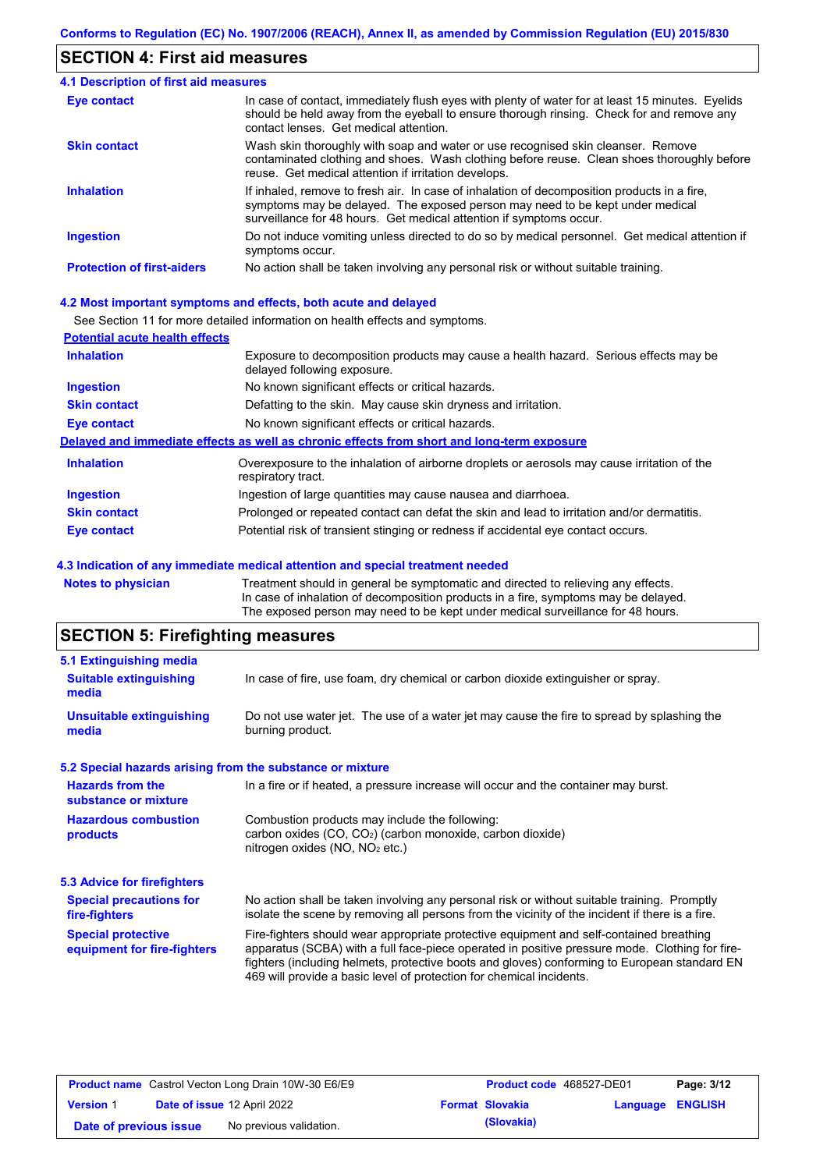## **SECTION 4: First aid measures**

| <b>4.1 Description of first aid measures</b> |                                                                                                                                                                                                                                                     |
|----------------------------------------------|-----------------------------------------------------------------------------------------------------------------------------------------------------------------------------------------------------------------------------------------------------|
| Eye contact                                  | In case of contact, immediately flush eyes with plenty of water for at least 15 minutes. Eyelids<br>should be held away from the eyeball to ensure thorough rinsing. Check for and remove any<br>contact lenses. Get medical attention.             |
| <b>Skin contact</b>                          | Wash skin thoroughly with soap and water or use recognised skin cleanser. Remove<br>contaminated clothing and shoes. Wash clothing before reuse. Clean shoes thoroughly before<br>reuse. Get medical attention if irritation develops.              |
| <b>Inhalation</b>                            | If inhaled, remove to fresh air. In case of inhalation of decomposition products in a fire,<br>symptoms may be delayed. The exposed person may need to be kept under medical<br>surveillance for 48 hours. Get medical attention if symptoms occur. |
| <b>Ingestion</b>                             | Do not induce vomiting unless directed to do so by medical personnel. Get medical attention if<br>symptoms occur.                                                                                                                                   |
| <b>Protection of first-aiders</b>            | No action shall be taken involving any personal risk or without suitable training.                                                                                                                                                                  |

#### **4.2 Most important symptoms and effects, both acute and delayed**

See Section 11 for more detailed information on health effects and symptoms.

| <b>Potential acute health effects</b> |                                                                                                                     |
|---------------------------------------|---------------------------------------------------------------------------------------------------------------------|
| <b>Inhalation</b>                     | Exposure to decomposition products may cause a health hazard. Serious effects may be<br>delayed following exposure. |
| <b>Ingestion</b>                      | No known significant effects or critical hazards.                                                                   |
| <b>Skin contact</b>                   | Defatting to the skin. May cause skin dryness and irritation.                                                       |
| <b>Eye contact</b>                    | No known significant effects or critical hazards.                                                                   |
|                                       | Delayed and immediate effects as well as chronic effects from short and long-term exposure                          |
| <b>Inhalation</b>                     | Overexposure to the inhalation of airborne droplets or aerosols may cause irritation of the<br>respiratory tract.   |
| <b>Ingestion</b>                      | Ingestion of large quantities may cause nausea and diarrhoea.                                                       |
| <b>Skin contact</b>                   | Prolonged or repeated contact can defat the skin and lead to irritation and/or dermatitis.                          |
| Eye contact                           | Potential risk of transient stinging or redness if accidental eye contact occurs.                                   |
|                                       |                                                                                                                     |

#### **4.3 Indication of any immediate medical attention and special treatment needed**

**Notes to physician** Treatment should in general be symptomatic and directed to relieving any effects. In case of inhalation of decomposition products in a fire, symptoms may be delayed. The exposed person may need to be kept under medical surveillance for 48 hours.

# **SECTION 5: Firefighting measures**

| 5.1 Extinguishing media                                   |                                                                                                                                                                                                                                                                                                                                                                   |  |  |  |  |
|-----------------------------------------------------------|-------------------------------------------------------------------------------------------------------------------------------------------------------------------------------------------------------------------------------------------------------------------------------------------------------------------------------------------------------------------|--|--|--|--|
| <b>Suitable extinguishing</b><br>media                    | In case of fire, use foam, dry chemical or carbon dioxide extinguisher or spray.                                                                                                                                                                                                                                                                                  |  |  |  |  |
| <b>Unsuitable extinguishing</b><br>media                  | Do not use water jet. The use of a water jet may cause the fire to spread by splashing the<br>burning product.                                                                                                                                                                                                                                                    |  |  |  |  |
| 5.2 Special hazards arising from the substance or mixture |                                                                                                                                                                                                                                                                                                                                                                   |  |  |  |  |
| <b>Hazards from the</b><br>substance or mixture           | In a fire or if heated, a pressure increase will occur and the container may burst.                                                                                                                                                                                                                                                                               |  |  |  |  |
| <b>Hazardous combustion</b><br>products                   | Combustion products may include the following:<br>carbon oxides $(CO, CO2)$ (carbon monoxide, carbon dioxide)<br>nitrogen oxides ( $NO$ , $NO2$ etc.)                                                                                                                                                                                                             |  |  |  |  |
| 5.3 Advice for firefighters                               |                                                                                                                                                                                                                                                                                                                                                                   |  |  |  |  |
| <b>Special precautions for</b><br>fire-fighters           | No action shall be taken involving any personal risk or without suitable training. Promptly<br>isolate the scene by removing all persons from the vicinity of the incident if there is a fire.                                                                                                                                                                    |  |  |  |  |
| <b>Special protective</b><br>equipment for fire-fighters  | Fire-fighters should wear appropriate protective equipment and self-contained breathing<br>apparatus (SCBA) with a full face-piece operated in positive pressure mode. Clothing for fire-<br>fighters (including helmets, protective boots and gloves) conforming to European standard EN<br>469 will provide a basic level of protection for chemical incidents. |  |  |  |  |

| <b>Product name</b> Castrol Vecton Long Drain 10W-30 E6/E9 |  | <b>Product code</b> 468527-DE01 |  | Page: 3/12             |                         |  |
|------------------------------------------------------------|--|---------------------------------|--|------------------------|-------------------------|--|
| <b>Version 1</b>                                           |  | Date of issue 12 April 2022     |  | <b>Format Slovakia</b> | <b>Language ENGLISH</b> |  |
| Date of previous issue                                     |  | No previous validation.         |  | (Slovakia)             |                         |  |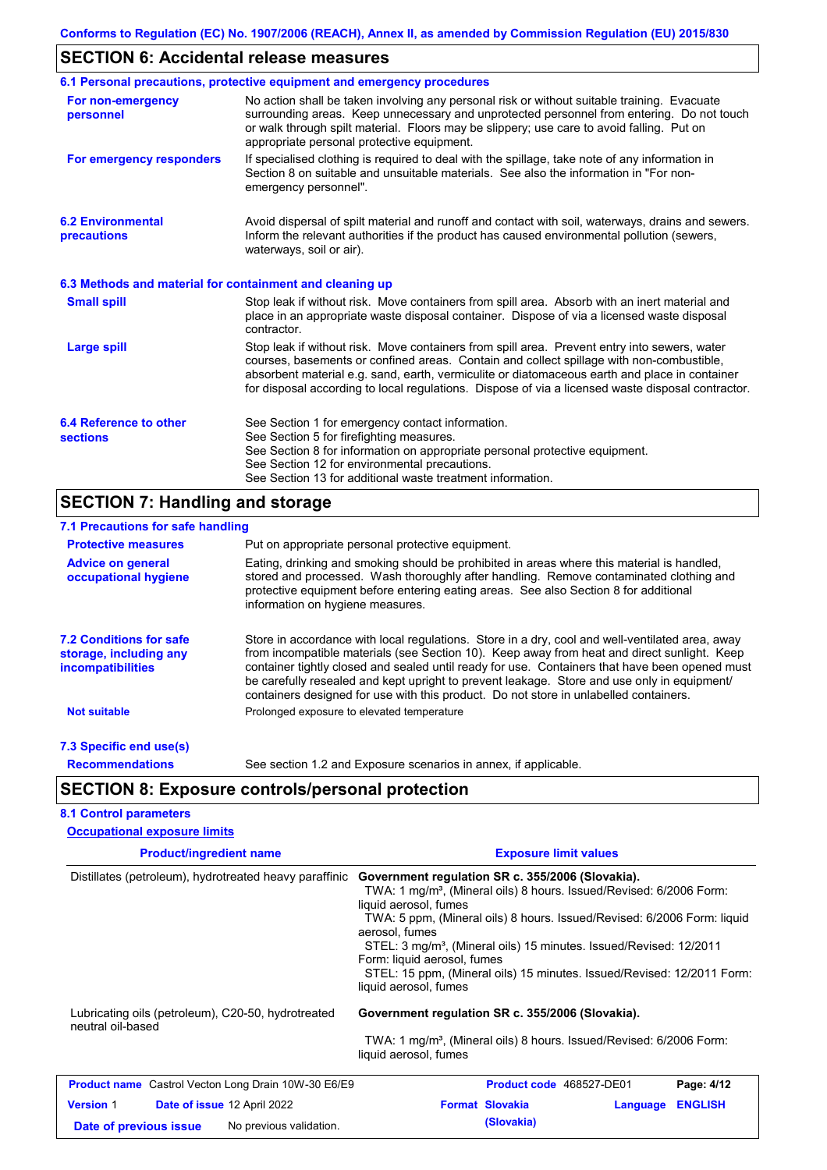# **SECTION 6: Accidental release measures**

|                                                          | 6.1 Personal precautions, protective equipment and emergency procedures                                                                                                                                                                                                                                                                                                                        |
|----------------------------------------------------------|------------------------------------------------------------------------------------------------------------------------------------------------------------------------------------------------------------------------------------------------------------------------------------------------------------------------------------------------------------------------------------------------|
| For non-emergency<br>personnel                           | No action shall be taken involving any personal risk or without suitable training. Evacuate<br>surrounding areas. Keep unnecessary and unprotected personnel from entering. Do not touch<br>or walk through spilt material. Floors may be slippery; use care to avoid falling. Put on<br>appropriate personal protective equipment.                                                            |
| For emergency responders                                 | If specialised clothing is required to deal with the spillage, take note of any information in<br>Section 8 on suitable and unsuitable materials. See also the information in "For non-<br>emergency personnel".                                                                                                                                                                               |
| <b>6.2 Environmental</b><br>precautions                  | Avoid dispersal of spilt material and runoff and contact with soil, waterways, drains and sewers.<br>Inform the relevant authorities if the product has caused environmental pollution (sewers,<br>waterways, soil or air).                                                                                                                                                                    |
| 6.3 Methods and material for containment and cleaning up |                                                                                                                                                                                                                                                                                                                                                                                                |
| <b>Small spill</b>                                       | Stop leak if without risk. Move containers from spill area. Absorb with an inert material and<br>place in an appropriate waste disposal container. Dispose of via a licensed waste disposal<br>contractor.                                                                                                                                                                                     |
| <b>Large spill</b>                                       | Stop leak if without risk. Move containers from spill area. Prevent entry into sewers, water<br>courses, basements or confined areas. Contain and collect spillage with non-combustible,<br>absorbent material e.g. sand, earth, vermiculite or diatomaceous earth and place in container<br>for disposal according to local regulations. Dispose of via a licensed waste disposal contractor. |
| 6.4 Reference to other<br><b>sections</b>                | See Section 1 for emergency contact information.<br>See Section 5 for firefighting measures.<br>See Section 8 for information on appropriate personal protective equipment.<br>See Section 12 for environmental precautions.<br>See Section 13 for additional waste treatment information.                                                                                                     |

# **SECTION 7: Handling and storage**

| 7.1 Precautions for safe handling                                                    |                                                                                                                                                                                                                                                                                                                                                                                                                                                                                          |  |  |  |  |
|--------------------------------------------------------------------------------------|------------------------------------------------------------------------------------------------------------------------------------------------------------------------------------------------------------------------------------------------------------------------------------------------------------------------------------------------------------------------------------------------------------------------------------------------------------------------------------------|--|--|--|--|
| <b>Protective measures</b>                                                           | Put on appropriate personal protective equipment.                                                                                                                                                                                                                                                                                                                                                                                                                                        |  |  |  |  |
| <b>Advice on general</b><br>occupational hygiene                                     | Eating, drinking and smoking should be prohibited in areas where this material is handled,<br>stored and processed. Wash thoroughly after handling. Remove contaminated clothing and<br>protective equipment before entering eating areas. See also Section 8 for additional<br>information on hygiene measures.                                                                                                                                                                         |  |  |  |  |
| <b>7.2 Conditions for safe</b><br>storage, including any<br><i>incompatibilities</i> | Store in accordance with local regulations. Store in a dry, cool and well-ventilated area, away<br>from incompatible materials (see Section 10). Keep away from heat and direct sunlight. Keep<br>container tightly closed and sealed until ready for use. Containers that have been opened must<br>be carefully resealed and kept upright to prevent leakage. Store and use only in equipment/<br>containers designed for use with this product. Do not store in unlabelled containers. |  |  |  |  |
| <b>Not suitable</b>                                                                  | Prolonged exposure to elevated temperature                                                                                                                                                                                                                                                                                                                                                                                                                                               |  |  |  |  |
| 7.3 Specific end use(s)                                                              |                                                                                                                                                                                                                                                                                                                                                                                                                                                                                          |  |  |  |  |
| <b>Recommendations</b>                                                               | See section 1.2 and Exposure scenarios in annex, if applicable.                                                                                                                                                                                                                                                                                                                                                                                                                          |  |  |  |  |
|                                                                                      | <b>SECTION 8: Exposure controls/personal protection</b>                                                                                                                                                                                                                                                                                                                                                                                                                                  |  |  |  |  |
| <b>8.1 Control parameters</b>                                                        |                                                                                                                                                                                                                                                                                                                                                                                                                                                                                          |  |  |  |  |
| <b>Occupational exposure limits</b>                                                  |                                                                                                                                                                                                                                                                                                                                                                                                                                                                                          |  |  |  |  |

| <b>Product/ingredient name</b>                                          | <b>Exposure limit values</b>                                                                                                                                                                                                                                                                                                                                                                                                                                                  |  |  |  |
|-------------------------------------------------------------------------|-------------------------------------------------------------------------------------------------------------------------------------------------------------------------------------------------------------------------------------------------------------------------------------------------------------------------------------------------------------------------------------------------------------------------------------------------------------------------------|--|--|--|
| Distillates (petroleum), hydrotreated heavy paraffinic                  | Government regulation SR c. 355/2006 (Slovakia).<br>TWA: 1 mg/m <sup>3</sup> , (Mineral oils) 8 hours. Issued/Revised: 6/2006 Form:<br>liquid aerosol, fumes<br>TWA: 5 ppm, (Mineral oils) 8 hours. Issued/Revised: 6/2006 Form: liquid<br>aerosol, fumes<br>STEL: 3 mg/m <sup>3</sup> , (Mineral oils) 15 minutes. Issued/Revised: 12/2011<br>Form: liquid aerosol, fumes<br>STEL: 15 ppm, (Mineral oils) 15 minutes. Issued/Revised: 12/2011 Form:<br>liquid aerosol, fumes |  |  |  |
| Lubricating oils (petroleum), C20-50, hydrotreated<br>neutral oil-based | Government regulation SR c. 355/2006 (Slovakia).<br>TWA: 1 mg/m <sup>3</sup> , (Mineral oils) 8 hours. Issued/Revised: 6/2006 Form:<br>liquid aerosol, fumes                                                                                                                                                                                                                                                                                                                  |  |  |  |
| <b>Product name</b> Castrol Vecton Long Drain 10W-30 E6/E9              | Product code 468527-DE01<br>Page: 4/12                                                                                                                                                                                                                                                                                                                                                                                                                                        |  |  |  |
| <b>Version 1</b><br>Date of issue 12 April 2022                         | <b>Format Slovakia</b><br><b>ENGLISH</b><br>Language                                                                                                                                                                                                                                                                                                                                                                                                                          |  |  |  |
| No previous validation.<br>Date of previous issue                       | (Slovakia)                                                                                                                                                                                                                                                                                                                                                                                                                                                                    |  |  |  |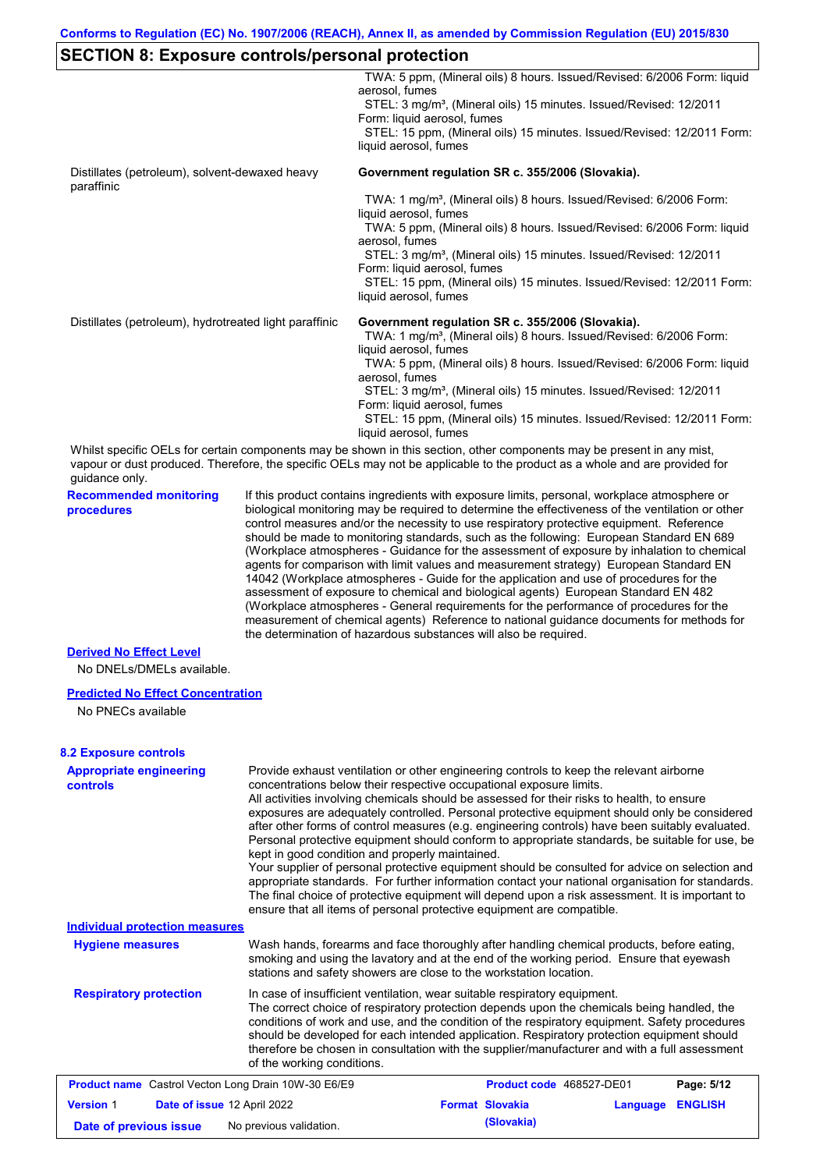# **SECTION 8: Exposure controls/personal protection**

|                                                                                                                                                                                                                                                                        |                                                                                                                                                                                                                                                                                                                                                                                                                                                                                                                                                                                                                                                                                                                                                                                                                                                                                                                                                                                                                            | TWA: 5 ppm, (Mineral oils) 8 hours. Issued/Revised: 6/2006 Form: liquid<br>aerosol, fumes<br>STEL: 3 mg/m <sup>3</sup> , (Mineral oils) 15 minutes. Issued/Revised: 12/2011                                                                                                                                                                                                                                                                                                                                                                                                                                                                                                                                                                                                                                                                                                                                                                                                                             |                                                                                                                                     |          |                |  |
|------------------------------------------------------------------------------------------------------------------------------------------------------------------------------------------------------------------------------------------------------------------------|----------------------------------------------------------------------------------------------------------------------------------------------------------------------------------------------------------------------------------------------------------------------------------------------------------------------------------------------------------------------------------------------------------------------------------------------------------------------------------------------------------------------------------------------------------------------------------------------------------------------------------------------------------------------------------------------------------------------------------------------------------------------------------------------------------------------------------------------------------------------------------------------------------------------------------------------------------------------------------------------------------------------------|---------------------------------------------------------------------------------------------------------------------------------------------------------------------------------------------------------------------------------------------------------------------------------------------------------------------------------------------------------------------------------------------------------------------------------------------------------------------------------------------------------------------------------------------------------------------------------------------------------------------------------------------------------------------------------------------------------------------------------------------------------------------------------------------------------------------------------------------------------------------------------------------------------------------------------------------------------------------------------------------------------|-------------------------------------------------------------------------------------------------------------------------------------|----------|----------------|--|
|                                                                                                                                                                                                                                                                        |                                                                                                                                                                                                                                                                                                                                                                                                                                                                                                                                                                                                                                                                                                                                                                                                                                                                                                                                                                                                                            | Form: liquid aerosol, fumes<br>STEL: 15 ppm, (Mineral oils) 15 minutes. Issued/Revised: 12/2011 Form:<br>liquid aerosol, fumes                                                                                                                                                                                                                                                                                                                                                                                                                                                                                                                                                                                                                                                                                                                                                                                                                                                                          |                                                                                                                                     |          |                |  |
| Distillates (petroleum), solvent-dewaxed heavy<br>paraffinic                                                                                                                                                                                                           |                                                                                                                                                                                                                                                                                                                                                                                                                                                                                                                                                                                                                                                                                                                                                                                                                                                                                                                                                                                                                            | Government regulation SR c. 355/2006 (Slovakia).                                                                                                                                                                                                                                                                                                                                                                                                                                                                                                                                                                                                                                                                                                                                                                                                                                                                                                                                                        |                                                                                                                                     |          |                |  |
|                                                                                                                                                                                                                                                                        |                                                                                                                                                                                                                                                                                                                                                                                                                                                                                                                                                                                                                                                                                                                                                                                                                                                                                                                                                                                                                            | TWA: 1 mg/m <sup>3</sup> , (Mineral oils) 8 hours. Issued/Revised: 6/2006 Form:                                                                                                                                                                                                                                                                                                                                                                                                                                                                                                                                                                                                                                                                                                                                                                                                                                                                                                                         |                                                                                                                                     |          |                |  |
|                                                                                                                                                                                                                                                                        |                                                                                                                                                                                                                                                                                                                                                                                                                                                                                                                                                                                                                                                                                                                                                                                                                                                                                                                                                                                                                            | liquid aerosol, fumes<br>TWA: 5 ppm, (Mineral oils) 8 hours. Issued/Revised: 6/2006 Form: liquid                                                                                                                                                                                                                                                                                                                                                                                                                                                                                                                                                                                                                                                                                                                                                                                                                                                                                                        |                                                                                                                                     |          |                |  |
|                                                                                                                                                                                                                                                                        |                                                                                                                                                                                                                                                                                                                                                                                                                                                                                                                                                                                                                                                                                                                                                                                                                                                                                                                                                                                                                            | aerosol, fumes<br>STEL: 3 mg/m <sup>3</sup> , (Mineral oils) 15 minutes. Issued/Revised: 12/2011                                                                                                                                                                                                                                                                                                                                                                                                                                                                                                                                                                                                                                                                                                                                                                                                                                                                                                        |                                                                                                                                     |          |                |  |
|                                                                                                                                                                                                                                                                        |                                                                                                                                                                                                                                                                                                                                                                                                                                                                                                                                                                                                                                                                                                                                                                                                                                                                                                                                                                                                                            | Form: liquid aerosol, fumes<br>STEL: 15 ppm, (Mineral oils) 15 minutes. Issued/Revised: 12/2011 Form:                                                                                                                                                                                                                                                                                                                                                                                                                                                                                                                                                                                                                                                                                                                                                                                                                                                                                                   |                                                                                                                                     |          |                |  |
|                                                                                                                                                                                                                                                                        |                                                                                                                                                                                                                                                                                                                                                                                                                                                                                                                                                                                                                                                                                                                                                                                                                                                                                                                                                                                                                            | liquid aerosol, fumes                                                                                                                                                                                                                                                                                                                                                                                                                                                                                                                                                                                                                                                                                                                                                                                                                                                                                                                                                                                   |                                                                                                                                     |          |                |  |
| Distillates (petroleum), hydrotreated light paraffinic                                                                                                                                                                                                                 |                                                                                                                                                                                                                                                                                                                                                                                                                                                                                                                                                                                                                                                                                                                                                                                                                                                                                                                                                                                                                            |                                                                                                                                                                                                                                                                                                                                                                                                                                                                                                                                                                                                                                                                                                                                                                                                                                                                                                                                                                                                         | Government regulation SR c. 355/2006 (Slovakia).<br>TWA: 1 mg/m <sup>3</sup> , (Mineral oils) 8 hours. Issued/Revised: 6/2006 Form: |          |                |  |
|                                                                                                                                                                                                                                                                        |                                                                                                                                                                                                                                                                                                                                                                                                                                                                                                                                                                                                                                                                                                                                                                                                                                                                                                                                                                                                                            | liquid aerosol, fumes<br>TWA: 5 ppm, (Mineral oils) 8 hours. Issued/Revised: 6/2006 Form: liquid                                                                                                                                                                                                                                                                                                                                                                                                                                                                                                                                                                                                                                                                                                                                                                                                                                                                                                        |                                                                                                                                     |          |                |  |
|                                                                                                                                                                                                                                                                        |                                                                                                                                                                                                                                                                                                                                                                                                                                                                                                                                                                                                                                                                                                                                                                                                                                                                                                                                                                                                                            | aerosol, fumes<br>STEL: 3 mg/m <sup>3</sup> , (Mineral oils) 15 minutes. Issued/Revised: 12/2011                                                                                                                                                                                                                                                                                                                                                                                                                                                                                                                                                                                                                                                                                                                                                                                                                                                                                                        |                                                                                                                                     |          |                |  |
|                                                                                                                                                                                                                                                                        |                                                                                                                                                                                                                                                                                                                                                                                                                                                                                                                                                                                                                                                                                                                                                                                                                                                                                                                                                                                                                            | Form: liquid aerosol, fumes<br>STEL: 15 ppm, (Mineral oils) 15 minutes. Issued/Revised: 12/2011 Form:<br>liquid aerosol, fumes                                                                                                                                                                                                                                                                                                                                                                                                                                                                                                                                                                                                                                                                                                                                                                                                                                                                          |                                                                                                                                     |          |                |  |
| Whilst specific OELs for certain components may be shown in this section, other components may be present in any mist,<br>vapour or dust produced. Therefore, the specific OELs may not be applicable to the product as a whole and are provided for<br>guidance only. |                                                                                                                                                                                                                                                                                                                                                                                                                                                                                                                                                                                                                                                                                                                                                                                                                                                                                                                                                                                                                            |                                                                                                                                                                                                                                                                                                                                                                                                                                                                                                                                                                                                                                                                                                                                                                                                                                                                                                                                                                                                         |                                                                                                                                     |          |                |  |
| <b>Recommended monitoring</b><br>procedures                                                                                                                                                                                                                            | If this product contains ingredients with exposure limits, personal, workplace atmosphere or<br>biological monitoring may be required to determine the effectiveness of the ventilation or other<br>control measures and/or the necessity to use respiratory protective equipment. Reference<br>should be made to monitoring standards, such as the following: European Standard EN 689<br>(Workplace atmospheres - Guidance for the assessment of exposure by inhalation to chemical<br>agents for comparison with limit values and measurement strategy) European Standard EN<br>14042 (Workplace atmospheres - Guide for the application and use of procedures for the<br>assessment of exposure to chemical and biological agents) European Standard EN 482<br>(Workplace atmospheres - General requirements for the performance of procedures for the<br>measurement of chemical agents) Reference to national guidance documents for methods for<br>the determination of hazardous substances will also be required. |                                                                                                                                                                                                                                                                                                                                                                                                                                                                                                                                                                                                                                                                                                                                                                                                                                                                                                                                                                                                         |                                                                                                                                     |          |                |  |
| <b>Derived No Effect Level</b>                                                                                                                                                                                                                                         |                                                                                                                                                                                                                                                                                                                                                                                                                                                                                                                                                                                                                                                                                                                                                                                                                                                                                                                                                                                                                            |                                                                                                                                                                                                                                                                                                                                                                                                                                                                                                                                                                                                                                                                                                                                                                                                                                                                                                                                                                                                         |                                                                                                                                     |          |                |  |
| No DNELs/DMELs available.                                                                                                                                                                                                                                              |                                                                                                                                                                                                                                                                                                                                                                                                                                                                                                                                                                                                                                                                                                                                                                                                                                                                                                                                                                                                                            |                                                                                                                                                                                                                                                                                                                                                                                                                                                                                                                                                                                                                                                                                                                                                                                                                                                                                                                                                                                                         |                                                                                                                                     |          |                |  |
| <b>Predicted No Effect Concentration</b><br>No PNECs available                                                                                                                                                                                                         |                                                                                                                                                                                                                                                                                                                                                                                                                                                                                                                                                                                                                                                                                                                                                                                                                                                                                                                                                                                                                            |                                                                                                                                                                                                                                                                                                                                                                                                                                                                                                                                                                                                                                                                                                                                                                                                                                                                                                                                                                                                         |                                                                                                                                     |          |                |  |
| <b>8.2 Exposure controls</b>                                                                                                                                                                                                                                           |                                                                                                                                                                                                                                                                                                                                                                                                                                                                                                                                                                                                                                                                                                                                                                                                                                                                                                                                                                                                                            |                                                                                                                                                                                                                                                                                                                                                                                                                                                                                                                                                                                                                                                                                                                                                                                                                                                                                                                                                                                                         |                                                                                                                                     |          |                |  |
| <b>Appropriate engineering</b><br><b>controls</b>                                                                                                                                                                                                                      |                                                                                                                                                                                                                                                                                                                                                                                                                                                                                                                                                                                                                                                                                                                                                                                                                                                                                                                                                                                                                            | Provide exhaust ventilation or other engineering controls to keep the relevant airborne<br>concentrations below their respective occupational exposure limits.<br>All activities involving chemicals should be assessed for their risks to health, to ensure<br>exposures are adequately controlled. Personal protective equipment should only be considered<br>after other forms of control measures (e.g. engineering controls) have been suitably evaluated.<br>Personal protective equipment should conform to appropriate standards, be suitable for use, be<br>kept in good condition and properly maintained.<br>Your supplier of personal protective equipment should be consulted for advice on selection and<br>appropriate standards. For further information contact your national organisation for standards.<br>The final choice of protective equipment will depend upon a risk assessment. It is important to<br>ensure that all items of personal protective equipment are compatible. |                                                                                                                                     |          |                |  |
| <b>Individual protection measures</b>                                                                                                                                                                                                                                  |                                                                                                                                                                                                                                                                                                                                                                                                                                                                                                                                                                                                                                                                                                                                                                                                                                                                                                                                                                                                                            |                                                                                                                                                                                                                                                                                                                                                                                                                                                                                                                                                                                                                                                                                                                                                                                                                                                                                                                                                                                                         |                                                                                                                                     |          |                |  |
| <b>Hygiene measures</b>                                                                                                                                                                                                                                                |                                                                                                                                                                                                                                                                                                                                                                                                                                                                                                                                                                                                                                                                                                                                                                                                                                                                                                                                                                                                                            | Wash hands, forearms and face thoroughly after handling chemical products, before eating,<br>smoking and using the lavatory and at the end of the working period. Ensure that eyewash<br>stations and safety showers are close to the workstation location.                                                                                                                                                                                                                                                                                                                                                                                                                                                                                                                                                                                                                                                                                                                                             |                                                                                                                                     |          |                |  |
| <b>Respiratory protection</b>                                                                                                                                                                                                                                          | of the working conditions.                                                                                                                                                                                                                                                                                                                                                                                                                                                                                                                                                                                                                                                                                                                                                                                                                                                                                                                                                                                                 | In case of insufficient ventilation, wear suitable respiratory equipment.<br>The correct choice of respiratory protection depends upon the chemicals being handled, the<br>conditions of work and use, and the condition of the respiratory equipment. Safety procedures<br>should be developed for each intended application. Respiratory protection equipment should<br>therefore be chosen in consultation with the supplier/manufacturer and with a full assessment                                                                                                                                                                                                                                                                                                                                                                                                                                                                                                                                 |                                                                                                                                     |          |                |  |
| <b>Product name</b> Castrol Vecton Long Drain 10W-30 E6/E9                                                                                                                                                                                                             |                                                                                                                                                                                                                                                                                                                                                                                                                                                                                                                                                                                                                                                                                                                                                                                                                                                                                                                                                                                                                            |                                                                                                                                                                                                                                                                                                                                                                                                                                                                                                                                                                                                                                                                                                                                                                                                                                                                                                                                                                                                         | <b>Product code</b> 468527-DE01                                                                                                     |          | Page: 5/12     |  |
| <b>Version 1</b><br>Date of issue 12 April 2022                                                                                                                                                                                                                        |                                                                                                                                                                                                                                                                                                                                                                                                                                                                                                                                                                                                                                                                                                                                                                                                                                                                                                                                                                                                                            |                                                                                                                                                                                                                                                                                                                                                                                                                                                                                                                                                                                                                                                                                                                                                                                                                                                                                                                                                                                                         | <b>Format Slovakia</b>                                                                                                              | Language | <b>ENGLISH</b> |  |
| Date of previous issue                                                                                                                                                                                                                                                 | No previous validation.                                                                                                                                                                                                                                                                                                                                                                                                                                                                                                                                                                                                                                                                                                                                                                                                                                                                                                                                                                                                    |                                                                                                                                                                                                                                                                                                                                                                                                                                                                                                                                                                                                                                                                                                                                                                                                                                                                                                                                                                                                         | (Slovakia)                                                                                                                          |          |                |  |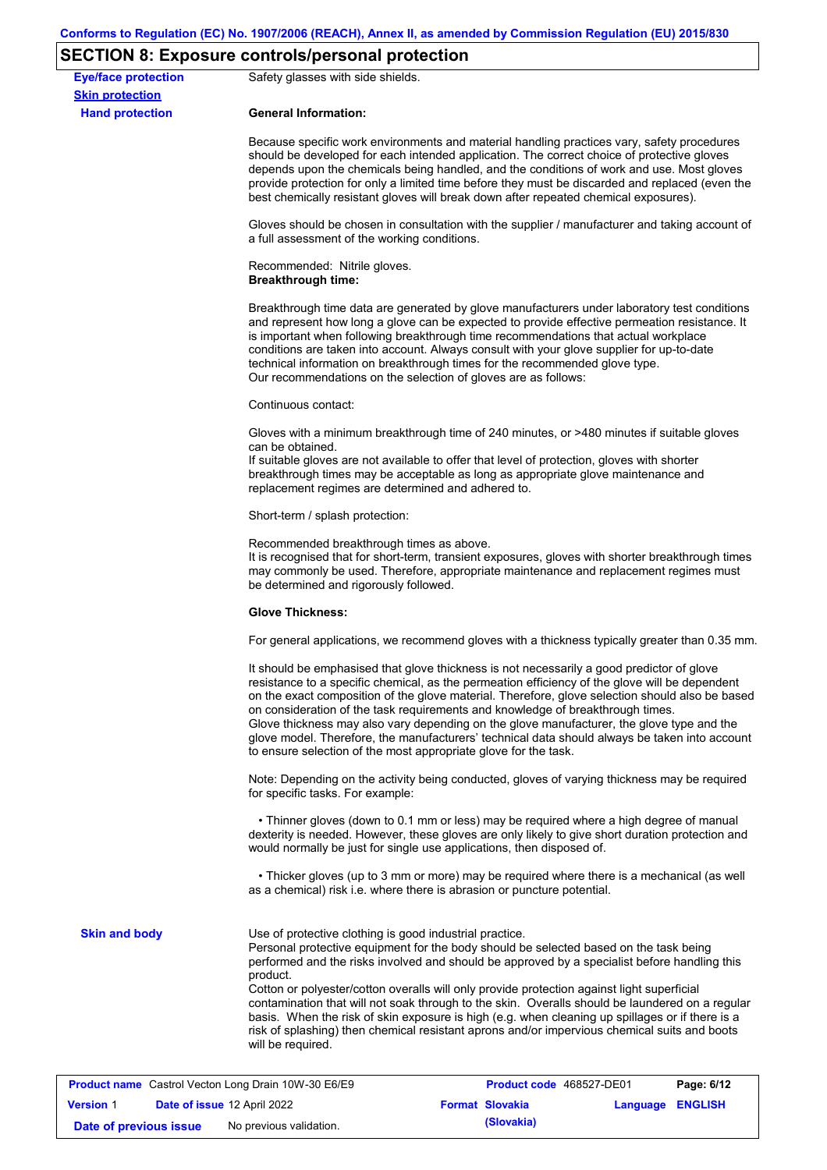# **SECTION 8: Exposure controls/personal protection**

|                                                      | $5 - 11$                                                                                                                                                                                                                                                                                                                                                                                                                                                                                                                                                                                                                                          |  |  |  |  |
|------------------------------------------------------|---------------------------------------------------------------------------------------------------------------------------------------------------------------------------------------------------------------------------------------------------------------------------------------------------------------------------------------------------------------------------------------------------------------------------------------------------------------------------------------------------------------------------------------------------------------------------------------------------------------------------------------------------|--|--|--|--|
| <b>Eye/face protection</b><br><b>Skin protection</b> | Safety glasses with side shields.                                                                                                                                                                                                                                                                                                                                                                                                                                                                                                                                                                                                                 |  |  |  |  |
| <b>Hand protection</b>                               | <b>General Information:</b>                                                                                                                                                                                                                                                                                                                                                                                                                                                                                                                                                                                                                       |  |  |  |  |
|                                                      | Because specific work environments and material handling practices vary, safety procedures<br>should be developed for each intended application. The correct choice of protective gloves<br>depends upon the chemicals being handled, and the conditions of work and use. Most gloves<br>provide protection for only a limited time before they must be discarded and replaced (even the<br>best chemically resistant gloves will break down after repeated chemical exposures).                                                                                                                                                                  |  |  |  |  |
|                                                      | Gloves should be chosen in consultation with the supplier / manufacturer and taking account of<br>a full assessment of the working conditions.                                                                                                                                                                                                                                                                                                                                                                                                                                                                                                    |  |  |  |  |
|                                                      | Recommended: Nitrile gloves.<br><b>Breakthrough time:</b>                                                                                                                                                                                                                                                                                                                                                                                                                                                                                                                                                                                         |  |  |  |  |
|                                                      | Breakthrough time data are generated by glove manufacturers under laboratory test conditions<br>and represent how long a glove can be expected to provide effective permeation resistance. It<br>is important when following breakthrough time recommendations that actual workplace<br>conditions are taken into account. Always consult with your glove supplier for up-to-date<br>technical information on breakthrough times for the recommended glove type.<br>Our recommendations on the selection of gloves are as follows:                                                                                                                |  |  |  |  |
|                                                      | Continuous contact:                                                                                                                                                                                                                                                                                                                                                                                                                                                                                                                                                                                                                               |  |  |  |  |
|                                                      | Gloves with a minimum breakthrough time of 240 minutes, or >480 minutes if suitable gloves<br>can be obtained.<br>If suitable gloves are not available to offer that level of protection, gloves with shorter<br>breakthrough times may be acceptable as long as appropriate glove maintenance and<br>replacement regimes are determined and adhered to.                                                                                                                                                                                                                                                                                          |  |  |  |  |
|                                                      | Short-term / splash protection:                                                                                                                                                                                                                                                                                                                                                                                                                                                                                                                                                                                                                   |  |  |  |  |
|                                                      | Recommended breakthrough times as above.<br>It is recognised that for short-term, transient exposures, gloves with shorter breakthrough times<br>may commonly be used. Therefore, appropriate maintenance and replacement regimes must<br>be determined and rigorously followed.                                                                                                                                                                                                                                                                                                                                                                  |  |  |  |  |
|                                                      | <b>Glove Thickness:</b>                                                                                                                                                                                                                                                                                                                                                                                                                                                                                                                                                                                                                           |  |  |  |  |
|                                                      | For general applications, we recommend gloves with a thickness typically greater than 0.35 mm.                                                                                                                                                                                                                                                                                                                                                                                                                                                                                                                                                    |  |  |  |  |
|                                                      | It should be emphasised that glove thickness is not necessarily a good predictor of glove<br>resistance to a specific chemical, as the permeation efficiency of the glove will be dependent<br>on the exact composition of the glove material. Therefore, glove selection should also be based<br>on consideration of the task requirements and knowledge of breakthrough times.<br>Glove thickness may also vary depending on the glove manufacturer, the glove type and the<br>glove model. Therefore, the manufacturers' technical data should always be taken into account<br>to ensure selection of the most appropriate glove for the task. |  |  |  |  |
|                                                      | Note: Depending on the activity being conducted, gloves of varying thickness may be required<br>for specific tasks. For example:                                                                                                                                                                                                                                                                                                                                                                                                                                                                                                                  |  |  |  |  |
|                                                      | • Thinner gloves (down to 0.1 mm or less) may be required where a high degree of manual<br>dexterity is needed. However, these gloves are only likely to give short duration protection and<br>would normally be just for single use applications, then disposed of.                                                                                                                                                                                                                                                                                                                                                                              |  |  |  |  |
|                                                      | • Thicker gloves (up to 3 mm or more) may be required where there is a mechanical (as well<br>as a chemical) risk i.e. where there is abrasion or puncture potential.                                                                                                                                                                                                                                                                                                                                                                                                                                                                             |  |  |  |  |
| <b>Skin and body</b>                                 | Use of protective clothing is good industrial practice.<br>Personal protective equipment for the body should be selected based on the task being<br>performed and the risks involved and should be approved by a specialist before handling this<br>product.<br>Cotton or polyester/cotton overalls will only provide protection against light superficial<br>contamination that will not soak through to the skin. Overalls should be laundered on a regular<br>basis. When the risk of skin exposure is high (e.g. when cleaning up spillages or if there is a                                                                                  |  |  |  |  |
|                                                      | risk of splashing) then chemical resistant aprons and/or impervious chemical suits and boots<br>will be required.                                                                                                                                                                                                                                                                                                                                                                                                                                                                                                                                 |  |  |  |  |
|                                                      | <b>Product name</b> Castrol Vecton Long Drain 10W-30 E6/E9<br>Page: 6/12<br>Product code 468527-DE01                                                                                                                                                                                                                                                                                                                                                                                                                                                                                                                                              |  |  |  |  |
| <b>Version 1</b>                                     | Date of issue 12 April 2022<br><b>Format Slovakia</b><br>Language ENGLISH                                                                                                                                                                                                                                                                                                                                                                                                                                                                                                                                                                         |  |  |  |  |

**Date of previous issue** No previous validation. **All and Slovakia** (Slovakia)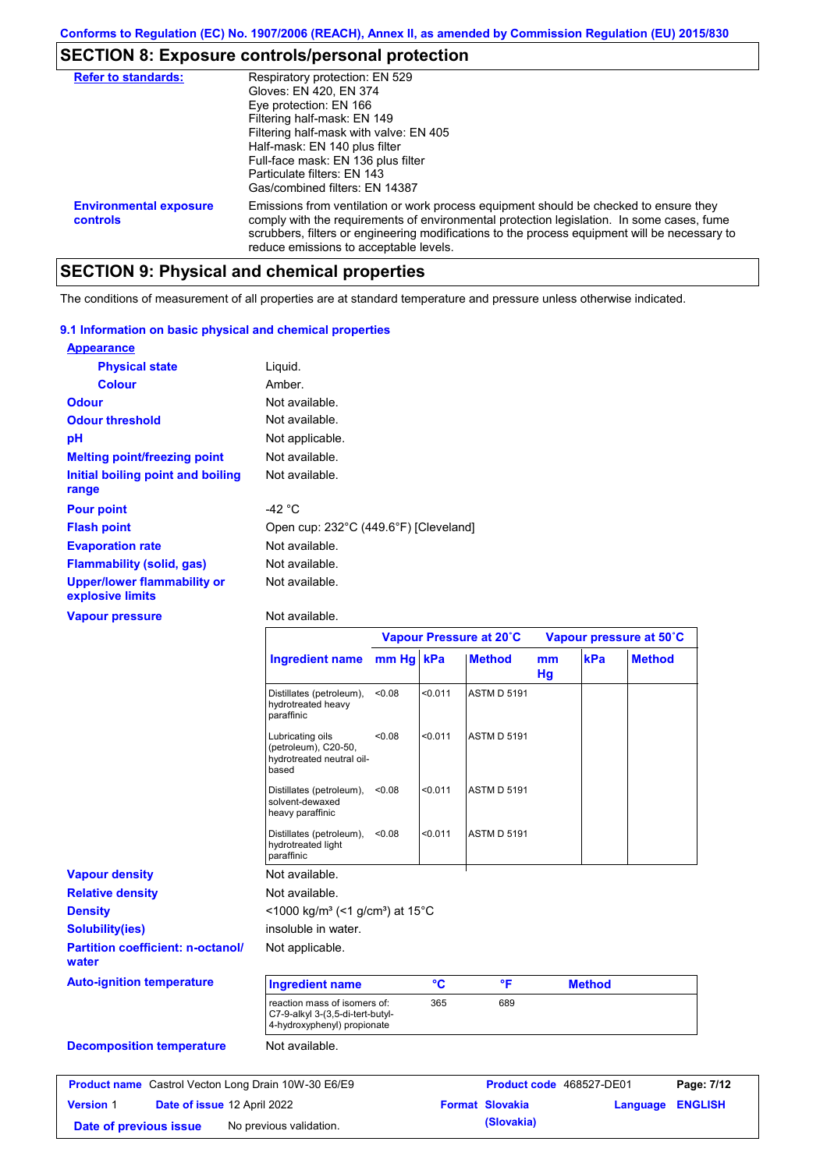# **SECTION 8: Exposure controls/personal protection**

| <b>Refer to standards:</b>                | Respiratory protection: EN 529<br>Gloves: EN 420, EN 374<br>Eye protection: EN 166<br>Filtering half-mask: EN 149<br>Filtering half-mask with valve: EN 405<br>Half-mask: EN 140 plus filter<br>Full-face mask: EN 136 plus filter<br>Particulate filters: EN 143<br>Gas/combined filters: EN 14387                           |
|-------------------------------------------|-------------------------------------------------------------------------------------------------------------------------------------------------------------------------------------------------------------------------------------------------------------------------------------------------------------------------------|
| <b>Environmental exposure</b><br>controls | Emissions from ventilation or work process equipment should be checked to ensure they<br>comply with the requirements of environmental protection legislation. In some cases, fume<br>scrubbers, filters or engineering modifications to the process equipment will be necessary to<br>reduce emissions to acceptable levels. |

# **SECTION 9: Physical and chemical properties**

The conditions of measurement of all properties are at standard temperature and pressure unless otherwise indicated.

#### **9.1 Information on basic physical and chemical properties**

| <b>Appearance</b>                                      |                                       |
|--------------------------------------------------------|---------------------------------------|
| <b>Physical state</b>                                  | Liquid.                               |
| Colour                                                 | Amber.                                |
| <b>Odour</b>                                           | Not available.                        |
| <b>Odour threshold</b>                                 | Not available.                        |
| рH                                                     | Not applicable.                       |
| <b>Melting point/freezing point</b>                    | Not available.                        |
| Initial boiling point and boiling<br>range             | Not available.                        |
| <b>Pour point</b>                                      | -42 °C                                |
| <b>Flash point</b>                                     | Open cup: 232°C (449.6°F) [Cleveland] |
| <b>Evaporation rate</b>                                | Not available.                        |
| Flammability (solid, gas)                              | Not available.                        |
| <b>Upper/lower flammability or</b><br>explosive limits | Not available.                        |

#### **Vapour pressure**

Not available.

**Date of previous issue** No previous validation. **(Slovakia)**

|                                                            |                                                                                                 | Vapour Pressure at 20°C |         |                        |          | Vapour pressure at 50°C  |               |                |
|------------------------------------------------------------|-------------------------------------------------------------------------------------------------|-------------------------|---------|------------------------|----------|--------------------------|---------------|----------------|
|                                                            | <b>Ingredient name</b>                                                                          | mm Hq kPa               |         | <b>Method</b>          | mm<br>Hg | kPa                      | <b>Method</b> |                |
|                                                            | Distillates (petroleum),<br>hydrotreated heavy<br>paraffinic                                    | < 0.08                  | < 0.011 | <b>ASTM D 5191</b>     |          |                          |               |                |
|                                                            | Lubricating oils<br>(petroleum), C20-50,<br>hydrotreated neutral oil-<br>based                  | < 0.08                  | < 0.011 | <b>ASTM D 5191</b>     |          |                          |               |                |
|                                                            | Distillates (petroleum),<br>solvent-dewaxed<br>heavy paraffinic                                 | < 0.08                  | < 0.011 | <b>ASTM D 5191</b>     |          |                          |               |                |
|                                                            | Distillates (petroleum),<br>hydrotreated light<br>paraffinic                                    | < 0.08                  | < 0.011 | <b>ASTM D 5191</b>     |          |                          |               |                |
| <b>Vapour density</b>                                      | Not available.                                                                                  |                         |         |                        |          |                          |               |                |
| <b>Relative density</b>                                    | Not available.                                                                                  |                         |         |                        |          |                          |               |                |
| <b>Density</b>                                             | <1000 kg/m <sup>3</sup> (<1 g/cm <sup>3</sup> ) at 15 <sup>°</sup> C                            |                         |         |                        |          |                          |               |                |
| <b>Solubility(ies)</b>                                     | insoluble in water.                                                                             |                         |         |                        |          |                          |               |                |
| <b>Partition coefficient: n-octanol/</b><br>water          | Not applicable.                                                                                 |                         |         |                        |          |                          |               |                |
| <b>Auto-ignition temperature</b>                           | <b>Ingredient name</b>                                                                          |                         | °C      | °F                     |          | <b>Method</b>            |               |                |
|                                                            | reaction mass of isomers of:<br>C7-9-alkyl 3-(3,5-di-tert-butyl-<br>4-hydroxyphenyl) propionate |                         | 365     | 689                    |          |                          |               |                |
| <b>Decomposition temperature</b>                           | Not available.                                                                                  |                         |         |                        |          |                          |               |                |
| <b>Product name</b> Castrol Vecton Long Drain 10W-30 E6/E9 |                                                                                                 |                         |         |                        |          | Product code 468527-DE01 |               | Page: 7/12     |
| Date of issue 12 April 2022<br><b>Version 1</b>            |                                                                                                 |                         |         | <b>Format Slovakia</b> |          |                          | Language      | <b>ENGLISH</b> |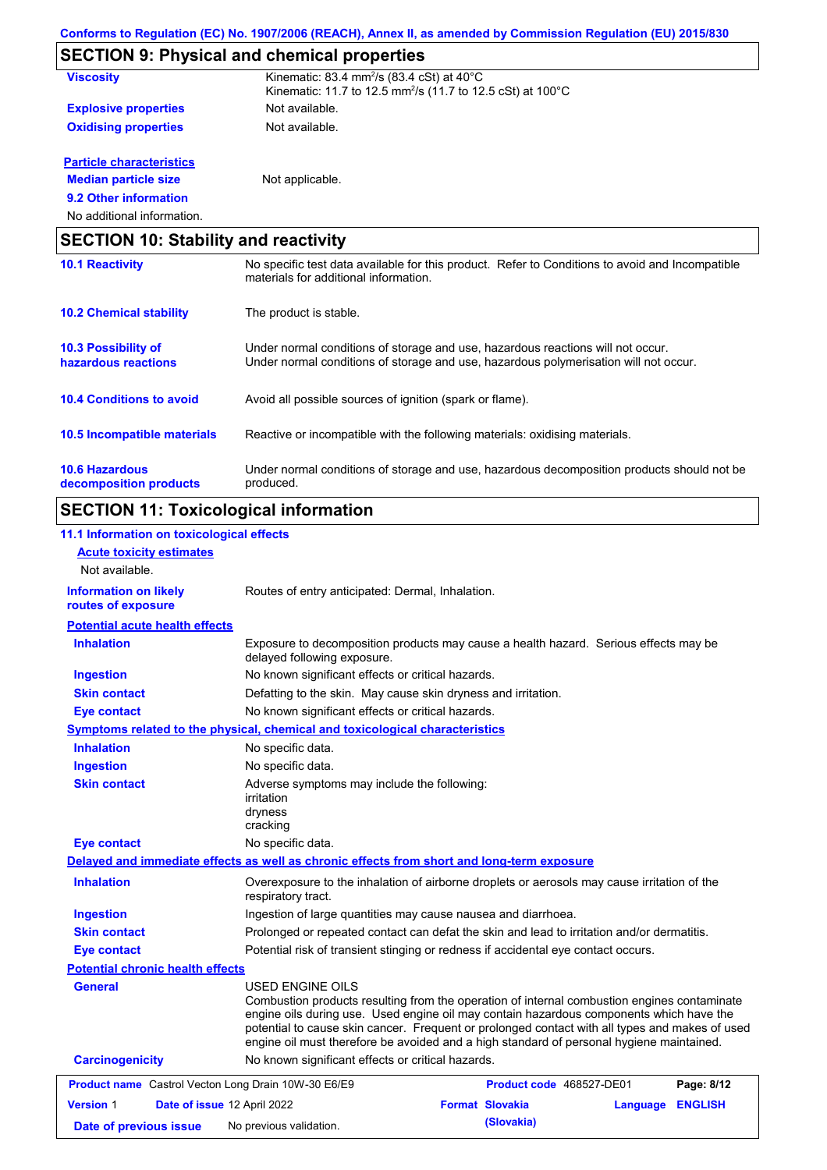|                                                 | <b>SECTION 9: Physical and chemical properties</b>                                                                                                                      |
|-------------------------------------------------|-------------------------------------------------------------------------------------------------------------------------------------------------------------------------|
| <b>Viscosity</b>                                | Kinematic: 83.4 mm <sup>2</sup> /s (83.4 cSt) at $40^{\circ}$ C<br>Kinematic: 11.7 to 12.5 mm <sup>2</sup> /s (11.7 to 12.5 cSt) at 100°C                               |
| <b>Explosive properties</b>                     | Not available.                                                                                                                                                          |
| <b>Oxidising properties</b>                     | Not available.                                                                                                                                                          |
| <b>Particle characteristics</b>                 |                                                                                                                                                                         |
| <b>Median particle size</b>                     | Not applicable.                                                                                                                                                         |
| 9.2 Other information                           |                                                                                                                                                                         |
| No additional information.                      |                                                                                                                                                                         |
| <b>SECTION 10: Stability and reactivity</b>     |                                                                                                                                                                         |
| <b>10.1 Reactivity</b>                          | No specific test data available for this product. Refer to Conditions to avoid and Incompatible<br>materials for additional information.                                |
| <b>10.2 Chemical stability</b>                  | The product is stable.                                                                                                                                                  |
| 10.3 Possibility of<br>hazardous reactions      | Under normal conditions of storage and use, hazardous reactions will not occur.<br>Under normal conditions of storage and use, hazardous polymerisation will not occur. |
| <b>10.4 Conditions to avoid</b>                 | Avoid all possible sources of ignition (spark or flame).                                                                                                                |
| 10.5 Incompatible materials                     | Reactive or incompatible with the following materials: oxidising materials.                                                                                             |
| <b>10.6 Hazardous</b><br>decomposition products | Under normal conditions of storage and use, hazardous decomposition products should not be<br>produced.                                                                 |

# **SECTION 11: Toxicological information**

| 11.1 Information on toxicological effects                  |                                                                                                                                                                                                                                                                                                                                                                                                                 |
|------------------------------------------------------------|-----------------------------------------------------------------------------------------------------------------------------------------------------------------------------------------------------------------------------------------------------------------------------------------------------------------------------------------------------------------------------------------------------------------|
| <b>Acute toxicity estimates</b>                            |                                                                                                                                                                                                                                                                                                                                                                                                                 |
| Not available.                                             |                                                                                                                                                                                                                                                                                                                                                                                                                 |
| <b>Information on likely</b><br>routes of exposure         | Routes of entry anticipated: Dermal, Inhalation.                                                                                                                                                                                                                                                                                                                                                                |
| <b>Potential acute health effects</b>                      |                                                                                                                                                                                                                                                                                                                                                                                                                 |
| <b>Inhalation</b>                                          | Exposure to decomposition products may cause a health hazard. Serious effects may be<br>delayed following exposure.                                                                                                                                                                                                                                                                                             |
| <b>Ingestion</b>                                           | No known significant effects or critical hazards.                                                                                                                                                                                                                                                                                                                                                               |
| <b>Skin contact</b>                                        | Defatting to the skin. May cause skin dryness and irritation.                                                                                                                                                                                                                                                                                                                                                   |
| <b>Eye contact</b>                                         | No known significant effects or critical hazards.                                                                                                                                                                                                                                                                                                                                                               |
|                                                            | Symptoms related to the physical, chemical and toxicological characteristics                                                                                                                                                                                                                                                                                                                                    |
| <b>Inhalation</b>                                          | No specific data.                                                                                                                                                                                                                                                                                                                                                                                               |
| <b>Ingestion</b>                                           | No specific data.                                                                                                                                                                                                                                                                                                                                                                                               |
| <b>Skin contact</b>                                        | Adverse symptoms may include the following:<br><i>irritation</i><br>dryness<br>cracking                                                                                                                                                                                                                                                                                                                         |
| <b>Eye contact</b>                                         | No specific data.                                                                                                                                                                                                                                                                                                                                                                                               |
|                                                            | Delayed and immediate effects as well as chronic effects from short and long-term exposure                                                                                                                                                                                                                                                                                                                      |
| <b>Inhalation</b>                                          | Overexposure to the inhalation of airborne droplets or aerosols may cause irritation of the<br>respiratory tract.                                                                                                                                                                                                                                                                                               |
| <b>Ingestion</b>                                           | Ingestion of large quantities may cause nausea and diarrhoea.                                                                                                                                                                                                                                                                                                                                                   |
| <b>Skin contact</b>                                        | Prolonged or repeated contact can defat the skin and lead to irritation and/or dermatitis.                                                                                                                                                                                                                                                                                                                      |
| <b>Eye contact</b>                                         | Potential risk of transient stinging or redness if accidental eye contact occurs.                                                                                                                                                                                                                                                                                                                               |
| <b>Potential chronic health effects</b>                    |                                                                                                                                                                                                                                                                                                                                                                                                                 |
| General                                                    | <b>USED ENGINE OILS</b><br>Combustion products resulting from the operation of internal combustion engines contaminate<br>engine oils during use. Used engine oil may contain hazardous components which have the<br>potential to cause skin cancer. Frequent or prolonged contact with all types and makes of used<br>engine oil must therefore be avoided and a high standard of personal hygiene maintained. |
| <b>Carcinogenicity</b>                                     | No known significant effects or critical hazards.                                                                                                                                                                                                                                                                                                                                                               |
| <b>Product name</b> Castrol Vecton Long Drain 10W-30 E6/E9 | <b>Product code</b> 468527-DE01<br>Page: 8/12                                                                                                                                                                                                                                                                                                                                                                   |
| <b>Version 1</b>                                           | Date of issue 12 April 2022<br><b>Format Slovakia</b><br><b>ENGLISH</b><br>Language                                                                                                                                                                                                                                                                                                                             |
|                                                            | (Slovakia)                                                                                                                                                                                                                                                                                                                                                                                                      |
| Date of previous issue                                     | No previous validation.                                                                                                                                                                                                                                                                                                                                                                                         |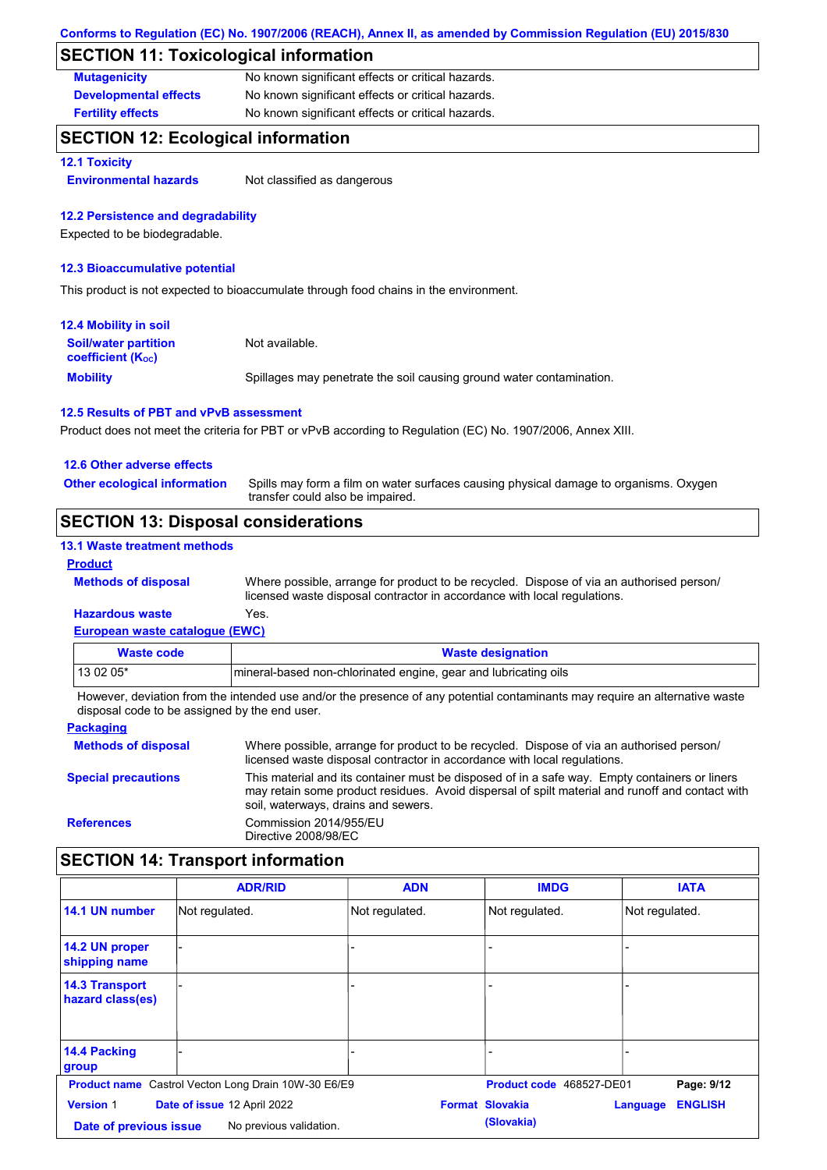## **SECTION 11: Toxicological information**

| <b>Mutagenicity</b>          | No known significant effects or critical hazards. |
|------------------------------|---------------------------------------------------|
| <b>Developmental effects</b> | No known significant effects or critical hazards. |
| <b>Fertility effects</b>     | No known significant effects or critical hazards. |

## **SECTION 12: Ecological information**

**12.1 Toxicity**

**Environmental hazards** Not classified as dangerous

#### **12.2 Persistence and degradability**

Expected to be biodegradable.

#### **12.3 Bioaccumulative potential**

This product is not expected to bioaccumulate through food chains in the environment.

| 12.4 Mobility in soil                                         |                                                                      |
|---------------------------------------------------------------|----------------------------------------------------------------------|
| <b>Soil/water partition</b><br>coefficient (K <sub>oc</sub> ) | Not available.                                                       |
| <b>Mobility</b>                                               | Spillages may penetrate the soil causing ground water contamination. |

#### **12.5 Results of PBT and vPvB assessment**

Product does not meet the criteria for PBT or vPvB according to Regulation (EC) No. 1907/2006, Annex XIII.

#### **12.6 Other adverse effects**

Spills may form a film on water surfaces causing physical damage to organisms. Oxygen transfer could also be impaired. **Other ecological information**

### **SECTION 13: Disposal considerations**

#### **13.1 Waste treatment methods**

#### **Product**

**Methods of disposal**

Where possible, arrange for product to be recycled. Dispose of via an authorised person/ licensed waste disposal contractor in accordance with local regulations.

#### **European waste catalogue (EWC) Hazardous waste** Yes.

| Waste code | <b>Waste designation</b>                                        |
|------------|-----------------------------------------------------------------|
| $130205*$  | mineral-based non-chlorinated engine, gear and lubricating oils |

However, deviation from the intended use and/or the presence of any potential contaminants may require an alternative waste disposal code to be assigned by the end user.

| <b>Packaging</b>           |                                                                                                                                                                                                                                         |
|----------------------------|-----------------------------------------------------------------------------------------------------------------------------------------------------------------------------------------------------------------------------------------|
| <b>Methods of disposal</b> | Where possible, arrange for product to be recycled. Dispose of via an authorised person/<br>licensed waste disposal contractor in accordance with local regulations.                                                                    |
| <b>Special precautions</b> | This material and its container must be disposed of in a safe way. Empty containers or liners<br>may retain some product residues. Avoid dispersal of spilt material and runoff and contact with<br>soil, waterways, drains and sewers. |
| <b>References</b>          | Commission 2014/955/EU<br>Directive 2008/98/EC                                                                                                                                                                                          |

## **SECTION 14: Transport information**

|                                           | <b>ADR/RID</b>                                             | <b>ADN</b>     | <b>IMDG</b>              | <b>IATA</b>                |
|-------------------------------------------|------------------------------------------------------------|----------------|--------------------------|----------------------------|
| 14.1 UN number                            | Not regulated.                                             | Not regulated. | Not regulated.           | Not regulated.             |
| 14.2 UN proper<br>shipping name           |                                                            |                |                          |                            |
| <b>14.3 Transport</b><br>hazard class(es) |                                                            |                |                          |                            |
| 14.4 Packing<br>group                     |                                                            |                |                          |                            |
|                                           | <b>Product name</b> Castrol Vecton Long Drain 10W-30 E6/E9 |                | Product code 468527-DE01 | Page: 9/12                 |
| <b>Version 1</b>                          | Date of issue 12 April 2022                                |                | <b>Format Slovakia</b>   | <b>ENGLISH</b><br>Language |
| Date of previous issue                    | No previous validation.                                    |                | (Slovakia)               |                            |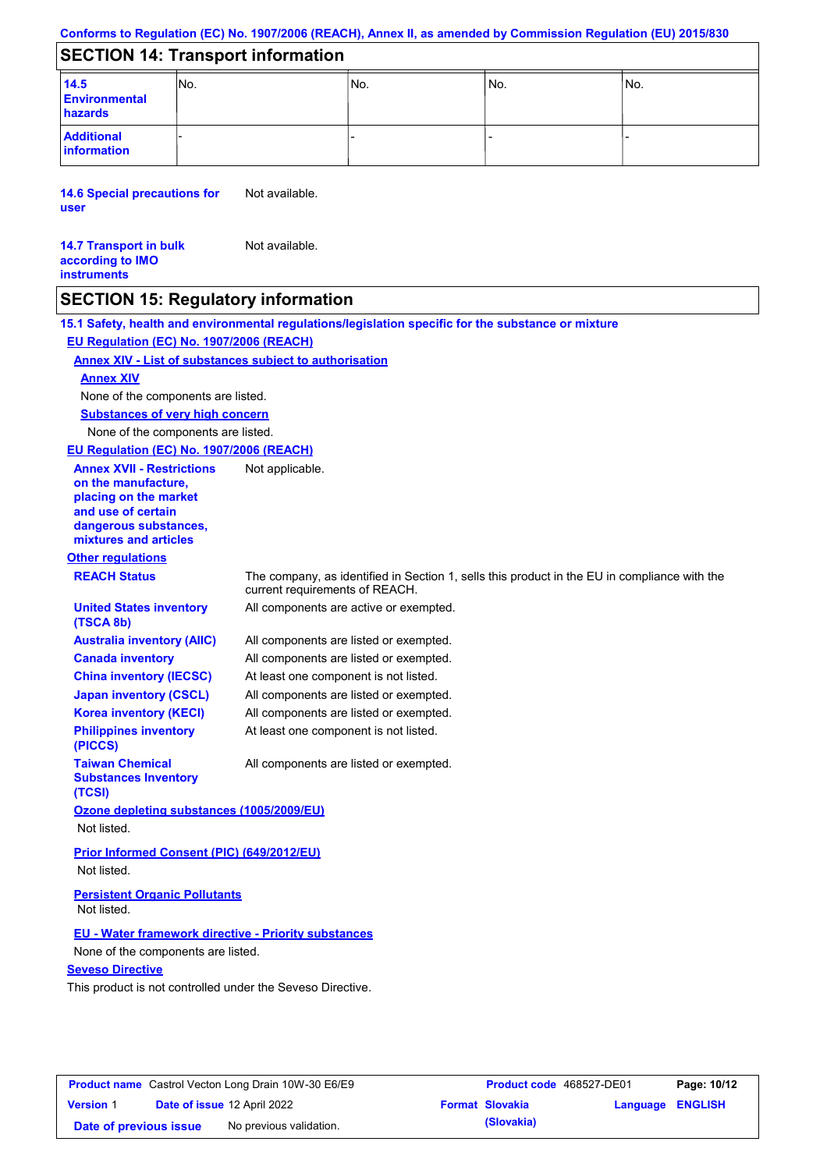### **SECTION 14: Transport information**

| 14.5<br>Environmental<br>hazards | INo. | No. | 'No. | INo. |
|----------------------------------|------|-----|------|------|
| <b>Additional</b><br>information |      |     |      |      |

**14.6 Special precautions for user** Not available.

| <b>14.7 Transport in bulk</b> | Not available. |
|-------------------------------|----------------|
| according to IMO              |                |
| <b>instruments</b>            |                |

### **SECTION 15: Regulatory information**

**15.1 Safety, health and environmental regulations/legislation specific for the substance or mixture EU Regulation (EC) No. 1907/2006 (REACH)**

#### **Annex XIV - List of substances subject to authorisation**

#### **Annex XIV**

None of the components are listed.

**Substances of very high concern**

None of the components are listed.

**EU Regulation (EC) No. 1907/2006 (REACH)**

**Annex XVII - Restrictions on the manufacture, placing on the market and use of certain dangerous substances, mixtures and articles**

**Australia inventory (AIIC) Canada inventory China inventory (IECSC) Japan inventory (CSCL) Korea inventory (KECI) Philippines inventory** 

# **Other regulations**

**(TSCA 8b)**

**(PICCS)**

**(TCSI)**

**Taiwan Chemical Substances Inventory** 

**REACH Status** The company, as identified in Section 1, sells this product in the EU in compliance with the current requirements of REACH.

All components are active or exempted. **United States inventory** 

Not applicable.

All components are listed or exempted. All components are listed or exempted. At least one component is not listed. All components are listed or exempted. All components are listed or exempted. At least one component is not listed.

All components are listed or exempted.

**Ozone depleting substances (1005/2009/EU)** Not listed.

**Prior Informed Consent (PIC) (649/2012/EU)** Not listed.

#### **Persistent Organic Pollutants** Not listed.

## **EU - Water framework directive - Priority substances**

None of the components are listed.

#### **Seveso Directive**

This product is not controlled under the Seveso Directive.

| <b>Product name</b> Castrol Vecton Long Drain 10W-30 E6/E9 |  | <b>Product code</b> 468527-DE01 |  | Page: 10/12            |                         |  |
|------------------------------------------------------------|--|---------------------------------|--|------------------------|-------------------------|--|
| <b>Version 1</b>                                           |  | Date of issue 12 April 2022     |  | <b>Format Slovakia</b> | <b>Language ENGLISH</b> |  |
| Date of previous issue                                     |  | No previous validation.         |  | (Slovakia)             |                         |  |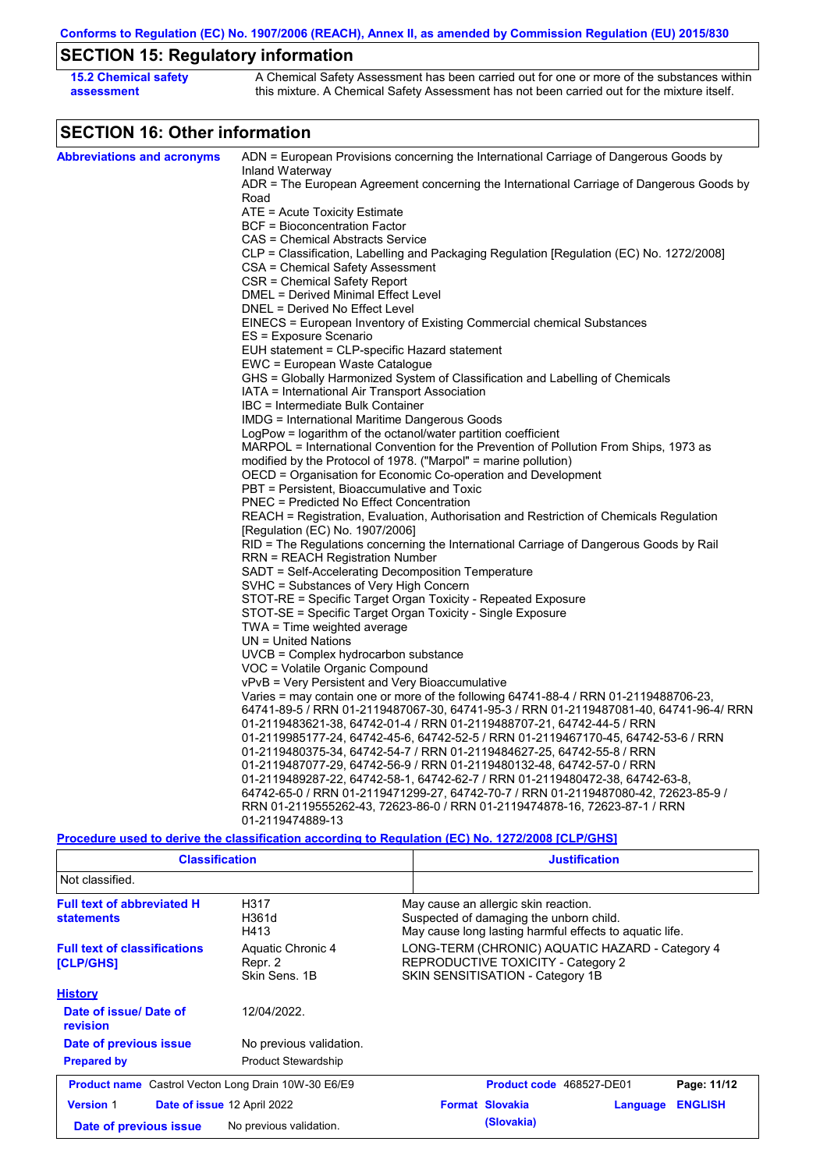**Conforms to Regulation (EC) No. 1907/2006 (REACH), Annex II, as amended by Commission Regulation (EU) 2015/830**

# **SECTION 15: Regulatory information**

| 15.2 Chemical safety | A Chemical Safety Assessment has been carried out for one or more of the substances within  |
|----------------------|---------------------------------------------------------------------------------------------|
| assessment           | this mixture. A Chemical Safety Assessment has not been carried out for the mixture itself. |

# **SECTION 16: Other information**

| <b>Abbreviations and acronyms</b> | ADN = European Provisions concerning the International Carriage of Dangerous Goods by                                        |  |  |  |  |
|-----------------------------------|------------------------------------------------------------------------------------------------------------------------------|--|--|--|--|
|                                   | Inland Waterway                                                                                                              |  |  |  |  |
|                                   | ADR = The European Agreement concerning the International Carriage of Dangerous Goods by<br>Road                             |  |  |  |  |
|                                   | ATE = Acute Toxicity Estimate                                                                                                |  |  |  |  |
|                                   | <b>BCF</b> = Bioconcentration Factor                                                                                         |  |  |  |  |
|                                   | CAS = Chemical Abstracts Service                                                                                             |  |  |  |  |
|                                   |                                                                                                                              |  |  |  |  |
|                                   | CLP = Classification, Labelling and Packaging Regulation [Regulation (EC) No. 1272/2008]<br>CSA = Chemical Safety Assessment |  |  |  |  |
|                                   | CSR = Chemical Safety Report                                                                                                 |  |  |  |  |
|                                   | DMEL = Derived Minimal Effect Level                                                                                          |  |  |  |  |
|                                   | DNEL = Derived No Effect Level                                                                                               |  |  |  |  |
|                                   | EINECS = European Inventory of Existing Commercial chemical Substances                                                       |  |  |  |  |
|                                   | ES = Exposure Scenario                                                                                                       |  |  |  |  |
|                                   | EUH statement = CLP-specific Hazard statement                                                                                |  |  |  |  |
|                                   | EWC = European Waste Catalogue                                                                                               |  |  |  |  |
|                                   | GHS = Globally Harmonized System of Classification and Labelling of Chemicals                                                |  |  |  |  |
|                                   | IATA = International Air Transport Association                                                                               |  |  |  |  |
|                                   | IBC = Intermediate Bulk Container                                                                                            |  |  |  |  |
|                                   | <b>IMDG</b> = International Maritime Dangerous Goods                                                                         |  |  |  |  |
|                                   | LogPow = logarithm of the octanol/water partition coefficient                                                                |  |  |  |  |
|                                   | MARPOL = International Convention for the Prevention of Pollution From Ships, 1973 as                                        |  |  |  |  |
|                                   | modified by the Protocol of 1978. ("Marpol" = marine pollution)                                                              |  |  |  |  |
|                                   | OECD = Organisation for Economic Co-operation and Development                                                                |  |  |  |  |
|                                   | PBT = Persistent, Bioaccumulative and Toxic                                                                                  |  |  |  |  |
|                                   | <b>PNEC = Predicted No Effect Concentration</b>                                                                              |  |  |  |  |
|                                   | REACH = Registration, Evaluation, Authorisation and Restriction of Chemicals Regulation                                      |  |  |  |  |
|                                   | [Regulation (EC) No. 1907/2006]                                                                                              |  |  |  |  |
|                                   | RID = The Regulations concerning the International Carriage of Dangerous Goods by Rail                                       |  |  |  |  |
|                                   | RRN = REACH Registration Number                                                                                              |  |  |  |  |
|                                   | SADT = Self-Accelerating Decomposition Temperature                                                                           |  |  |  |  |
|                                   | SVHC = Substances of Very High Concern                                                                                       |  |  |  |  |
|                                   | STOT-RE = Specific Target Organ Toxicity - Repeated Exposure                                                                 |  |  |  |  |
|                                   | STOT-SE = Specific Target Organ Toxicity - Single Exposure                                                                   |  |  |  |  |
|                                   | $TWA = Time$ weighted average                                                                                                |  |  |  |  |
|                                   | $UN = United Nations$                                                                                                        |  |  |  |  |
|                                   | $UVCB = Complex\;hydrocarbon\; substance$                                                                                    |  |  |  |  |
|                                   | VOC = Volatile Organic Compound                                                                                              |  |  |  |  |
|                                   | vPvB = Very Persistent and Very Bioaccumulative                                                                              |  |  |  |  |
|                                   | Varies = may contain one or more of the following 64741-88-4 / RRN 01-2119488706-23,                                         |  |  |  |  |
|                                   | 64741-89-5 / RRN 01-2119487067-30, 64741-95-3 / RRN 01-2119487081-40, 64741-96-4/ RRN                                        |  |  |  |  |
|                                   | 01-2119483621-38, 64742-01-4 / RRN 01-2119488707-21, 64742-44-5 / RRN                                                        |  |  |  |  |
|                                   | 01-2119985177-24, 64742-45-6, 64742-52-5 / RRN 01-2119467170-45, 64742-53-6 / RRN                                            |  |  |  |  |
|                                   | 01-2119480375-34, 64742-54-7 / RRN 01-2119484627-25, 64742-55-8 / RRN                                                        |  |  |  |  |
|                                   | 01-2119487077-29, 64742-56-9 / RRN 01-2119480132-48, 64742-57-0 / RRN                                                        |  |  |  |  |
|                                   | 01-2119489287-22, 64742-58-1, 64742-62-7 / RRN 01-2119480472-38, 64742-63-8,                                                 |  |  |  |  |
|                                   | 64742-65-0 / RRN 01-2119471299-27, 64742-70-7 / RRN 01-2119487080-42, 72623-85-9 /                                           |  |  |  |  |
|                                   | RRN 01-2119555262-43, 72623-86-0 / RRN 01-2119474878-16, 72623-87-1 / RRN                                                    |  |  |  |  |
|                                   | 01-2119474889-13                                                                                                             |  |  |  |  |
|                                   | Procedure used to derive the classification according to Regulation (EC) No. 1272/2008 [CLP/GHS]                             |  |  |  |  |

| <b>Classification</b>                                                                                |                                               | <b>Justification</b>                                                                                                                       |  |  |  |
|------------------------------------------------------------------------------------------------------|-----------------------------------------------|--------------------------------------------------------------------------------------------------------------------------------------------|--|--|--|
| Not classified.                                                                                      |                                               |                                                                                                                                            |  |  |  |
| <b>Full text of abbreviated H</b><br><b>statements</b>                                               | H317<br>H361d<br>H413                         | May cause an allergic skin reaction.<br>Suspected of damaging the unborn child.<br>May cause long lasting harmful effects to aquatic life. |  |  |  |
| <b>Full text of classifications</b><br>[CLP/GHS]                                                     | Aquatic Chronic 4<br>Repr. 2<br>Skin Sens, 1B | LONG-TERM (CHRONIC) AQUATIC HAZARD - Category 4<br>REPRODUCTIVE TOXICITY - Category 2<br>SKIN SENSITISATION - Category 1B                  |  |  |  |
| <b>History</b>                                                                                       |                                               |                                                                                                                                            |  |  |  |
| Date of issue/Date of<br><b>revision</b>                                                             | 12/04/2022.                                   |                                                                                                                                            |  |  |  |
| Date of previous issue                                                                               | No previous validation.                       |                                                                                                                                            |  |  |  |
| <b>Prepared by</b>                                                                                   | Product Stewardship                           |                                                                                                                                            |  |  |  |
| <b>Product name</b> Castrol Vecton Long Drain 10W-30 E6/E9                                           |                                               | Product code 468527-DE01<br>Page: 11/12                                                                                                    |  |  |  |
| Date of issue 12 April 2022<br><b>Version 1</b><br>No previous validation.<br>Date of previous issue |                                               | <b>ENGLISH</b><br><b>Format Slovakia</b><br><b>Language</b>                                                                                |  |  |  |
|                                                                                                      |                                               | (Slovakia)                                                                                                                                 |  |  |  |